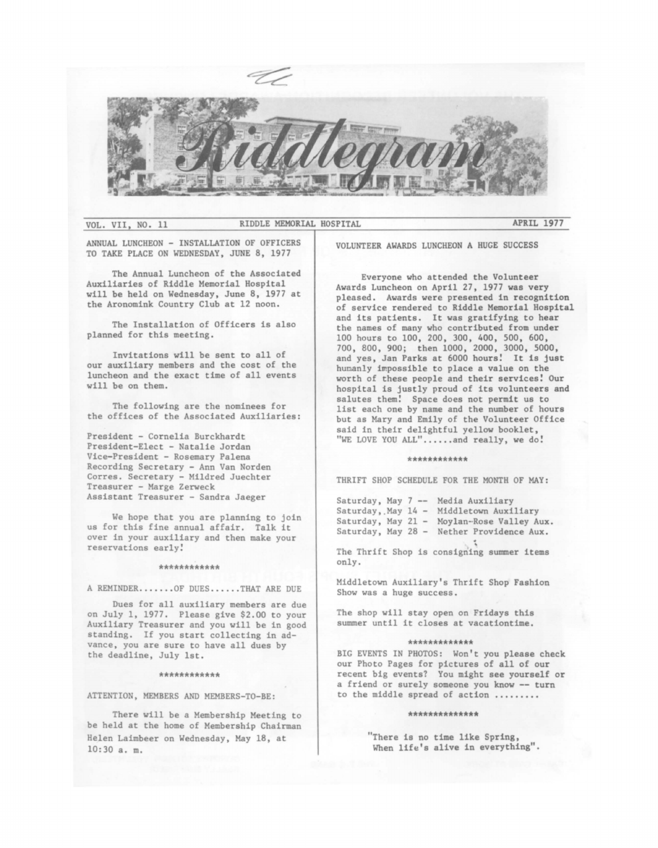

VOL. VII, NO. 11 RIDDLE MEMORIAL HOSPITAL **APRIL** 1977

ANNUAL LUNCHEON - INSTALLATION OF OFFICERS TO TAKE PLACE ON WEDNESDAY, JUNE 8, 1977

The Annual Luncheon of the Associated Auxiliaries of Riddle Memorial Hospital will be held on Wednesday, June 8, 1977 at the Aronomink Country Club at 12 noon.

The Installation of Officers is also planned for this meeting.

Invitations will be sent to all of our auxiliary members and the cost of the luncheon and the exact time of all events will be on them.

The following are the nominees for the offices of the Associated Auxiliaries:

President - Cornelia Burckhardt President-Elect - Natalie Jordan Vice-President - Rosemary Palena Recording Secretary - Ann Van Norden Corres. Secretary - Mildred Juechter Treasurer - Marge Zerweck Assistant Treasurer - Sandra Jaeger

We hope that you are planning to join us for this fine annual affair. Talk it over in your auxiliary and then make your reservations early!

### \*\*\*\*\*\*\*\*\*\*\*

A REMINDER ...•.•. OF DUES .•..•. THAT ARE DUE

Dues for all auxiliary members are due on July 1, 1977. Please give \$2.00 to your Auxiliary Treasurer and you will be in good standing. If you start collecting in advance, you are sure to have all dues by the deadline, July 1st.

### \*\*\*\*\*\*\*\*\*\*\*

ATTENTION, MEMBERS AND MEMBERS-TO-BE:

There will be a Membership Meeting to be held at the home of Membership Chairman Helen Laimbeer on Wednesday, May 18, at 10:30 a. m.

VOLUNTEER AWARDS LUNCHEON A HUGE SUCCESS

Everyone who attended the Volunteer Awards Luncheon on April 27, 1977 was very pleased. Awards were presented in recognition of service rendered to Riddle Memorial Hospital and its patients. It was gratifying to hear the names of many who contributed from under 100 hours to 100, 200, 300, 400, 500, 600, 700, 800, 900; then 1000, 2000, 3000, 5000, and yes, Jan Parks at 6000 hours! It is just humanly impossible to place a value on the worth of these people and their **services!** Our hospital is justly proud of its volunteers and salutes them! Space does not permit us to list each one by name and the number of hours but as Mary and Emily of the Volunteer Office said in their delightful yellow booklet, "WE LOVE YOU ALL"......and really, we do!

### \*\*\*\*\*\*\*\*\*\*\*\*

THRIFT SHOP SCHEDULE FOR THE MONTH OF MAY:

Saturday, May 7 -- Media Auxiliar Saturday, May 14 - Middletown Auxiliar Saturday, May 21 - Moylan-Rose Valley Aux. Saturday, May 28 - Nether Providence Aux.

The Thrift Shop is consigning summer items only.

Middletown Auxiliary's Thrift Shop Fashion Show was a huge success.

The shop will stay open on Fridays this summer until it closes at vacationtime.

### \*\*\*\*\*\*\*\*\*\*\*\*

BIG EVENTS IN PHOTOS: Won't you **please** check our Photo Pages for pictures of all of our recent big events? You might see yourself or a friend or surely someone you know -- turn to the middle spread of action .........

### \*\*\*\*\*\*\*\*\*\*\*\*\*

"There is no time like Spring, When life's alive in everything".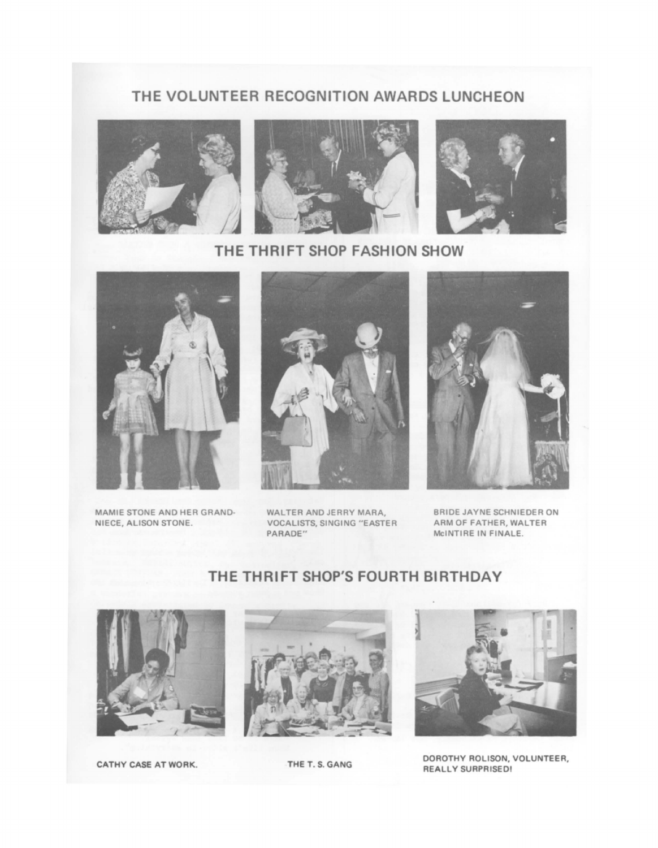### **THE VOLUNTEER RECOGNITION AWARDS LUNCHEON**







**THE THRIFT SHOP FASHION SHOW** 



MAMIE STONE AND HER GRAND• NIECE, ALISON STONE.



WALTER AND JERRY MARA, VOCALISTS, SINGING "EASTER PARADE"



BRIDE JAYNE SCHNIEDER ON ARM OF FATHER, WALTER MclNTIRE IN FINALE.

# **THE THRIFT SHOP'S FOURTH BIRTHDAY**









CATHY CASE AT WORK. THE T. S. GANG DOROTHY ROLISON, VOLUNTEER, **REALLY SURPRISED!**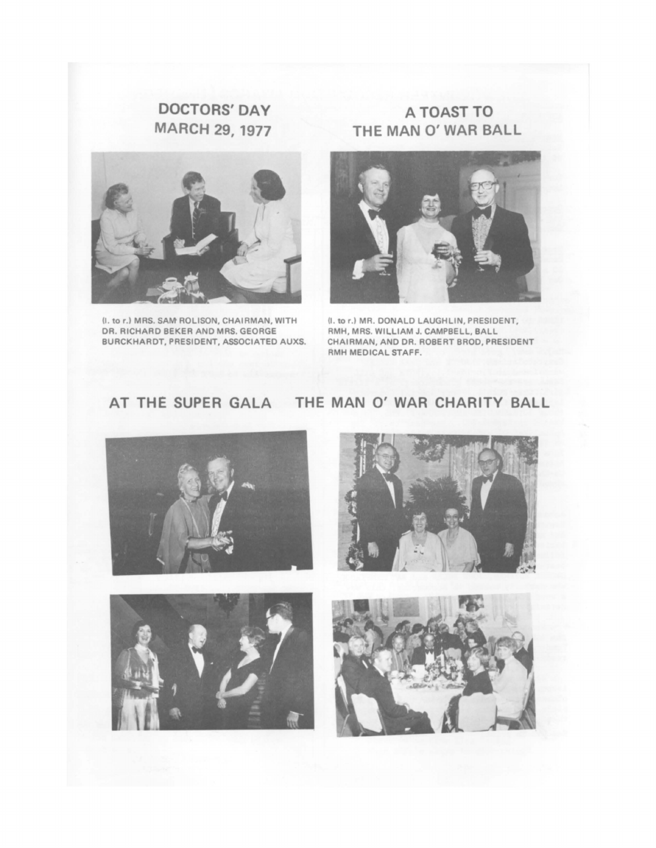## **DOCTORS' DAY MARCH 29, 1977**



(I. to r.) MRS. SAM ROLISON, CHAIRMAN, WITH DR. RICHARD BEKER AND MRS. GEORGE BURCKHARDT, PRESIDENT, ASSOCIATED AUXS.

## **A TOAST TO THE MAN O' WAR BALL**



(I. tor.) MR. DONALD LAUGHLIN, PRESIDENT, RMH, MRS. WILLIAM J. CAMPBELL, BALL CHAIRMAN, AND DR. ROBERT BROD, PRESIDENT RMH MEDICAL STAFF.

## **AT THE SUPER GALA THE MAN O' WAR CHARITY BALL**